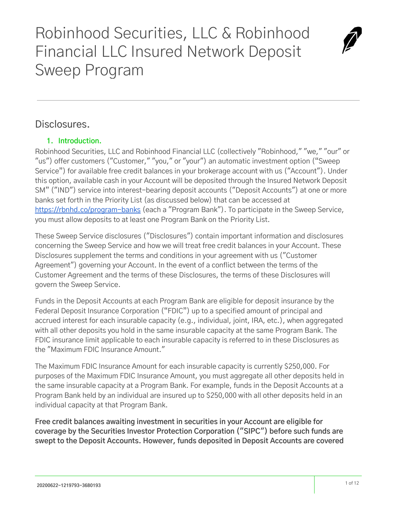# Robinhood Securities, LLC & Robinhood Financial LLC Insured Network Deposit Sweep Program



# **1. Introduction.**

Robinhood Securities, LLC and Robinhood Financial LLC (collectively "Robinhood," "we," "our" or "us") offer customers ("Customer," "you," or "your") an automatic investment option ("Sweep Service") for available free credit balances in your brokerage account with us ("Account"). Under this option, available cash in your Account will be deposited through the Insured Network Deposit SM" ("IND") service into interest-bearing deposit accounts ("Deposit Accounts") at one or more banks set forth in the Priority List (as discussed below) that can be accessed at <https://rbnhd.co/program-banks>(each a "Program Bank"). To participate in the Sweep Service, you must allow deposits to at least one Program Bank on the Priority List.

These Sweep Service disclosures ("Disclosures") contain important information and disclosures concerning the Sweep Service and how we will treat free credit balances in your Account. These Disclosures supplement the terms and conditions in your agreement with us ("Customer Agreement") governing your Account. In the event of a conflict between the terms of the Customer Agreement and the terms of these Disclosures, the terms of these Disclosures will govern the Sweep Service.

Funds in the Deposit Accounts at each Program Bank are eligible for deposit insurance by the Federal Deposit Insurance Corporation ("FDIC") up to a specified amount of principal and accrued interest for each insurable capacity (e.g., individual, joint, IRA, etc.), when aggregated with all other deposits you hold in the same insurable capacity at the same Program Bank. The FDIC insurance limit applicable to each insurable capacity is referred to in these Disclosures as the "Maximum FDIC Insurance Amount."

The Maximum FDIC Insurance Amount for each insurable capacity is currently \$250,000. For purposes of the Maximum FDIC Insurance Amount, you must aggregate all other deposits held in the same insurable capacity at a Program Bank. For example, funds in the Deposit Accounts at a Program Bank held by an individual are insured up to \$250,000 with all other deposits held in an individual capacity at that Program Bank.

**Free credit balances awaiting investment in securities in your Account are eligible for coverage by the Securities Investor Protection Corporation ("SIPC") before such funds are swept to the Deposit Accounts. However, funds deposited in Deposit Accounts are covered**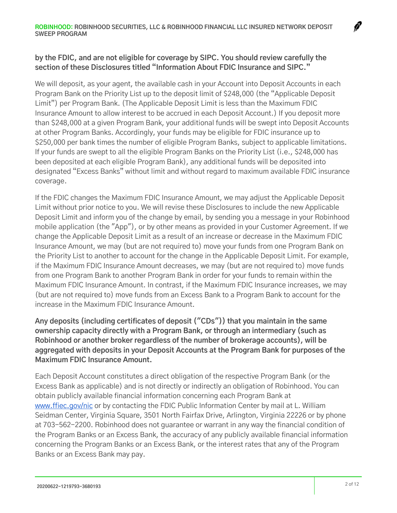#### **by the FDIC, and are not eligible for coverage by SIPC. You should review carefully the section of these Disclosures titled "Information About FDIC Insurance and SIPC."**

We will deposit, as your agent, the available cash in your Account into Deposit Accounts in each Program Bank on the Priority List up to the deposit limit of \$248,000 (the "Applicable Deposit Limit") per Program Bank. (The Applicable Deposit Limit is less than the Maximum FDIC Insurance Amount to allow interest to be accrued in each Deposit Account.) If you deposit more than \$248,000 at a given Program Bank, your additional funds will be swept into Deposit Accounts at other Program Banks. Accordingly, your funds may be eligible for FDIC insurance up to \$250,000 per bank times the number of eligible Program Banks, subject to applicable limitations. If your funds are swept to all the eligible Program Banks on the Priority List (i.e., \$248,000 has been deposited at each eligible Program Bank), any additional funds will be deposited into designated "Excess Banks" without limit and without regard to maximum available FDIC insurance coverage.

If the FDIC changes the Maximum FDIC Insurance Amount, we may adjust the Applicable Deposit Limit without prior notice to you. We will revise these Disclosures to include the new Applicable Deposit Limit and inform you of the change by email, by sending you a message in your Robinhood mobile application (the "App"), or by other means as provided in your Customer Agreement. If we change the Applicable Deposit Limit as a result of an increase or decrease in the Maximum FDIC Insurance Amount, we may (but are not required to) move your funds from one Program Bank on the Priority List to another to account for the change in the Applicable Deposit Limit. For example, if the Maximum FDIC Insurance Amount decreases, we may (but are not required to) move funds from one Program Bank to another Program Bank in order for your funds to remain within the Maximum FDIC Insurance Amount. In contrast, if the Maximum FDIC Insurance increases, we may (but are not required to) move funds from an Excess Bank to a Program Bank to account for the increase in the Maximum FDIC Insurance Amount.

**Any deposits (including certificates of deposit ("CDs")) that you maintain in the same ownership capacity directly with a Program Bank, or through an intermediary (such as Robinhood or another broker regardless of the number of brokerage accounts), will be aggregated with deposits in your Deposit Accounts at the Program Bank for purposes of the Maximum FDIC Insurance Amount.**

Each Deposit Account constitutes a direct obligation of the respective Program Bank (or the Excess Bank as applicable) and is not directly or indirectly an obligation of Robinhood. You can obtain publicly available financial information concerning each Program Bank a[t](http://www.ffiec.gov/nic) [www.ffiec.gov/nic](http://www.ffiec.gov/nic) or by contacting the FDIC Public Information Center by mail at L. William Seidman Center, Virginia Square, 3501 North Fairfax Drive, Arlington, Virginia 22226 or by phone at 703-562-2200. Robinhood does not guarantee or warrant in any way the financial condition of the Program Banks or an Excess Bank, the accuracy of any publicly available financial information concerning the Program Banks or an Excess Bank, or the interest rates that any of the Program Banks or an Excess Bank may pay.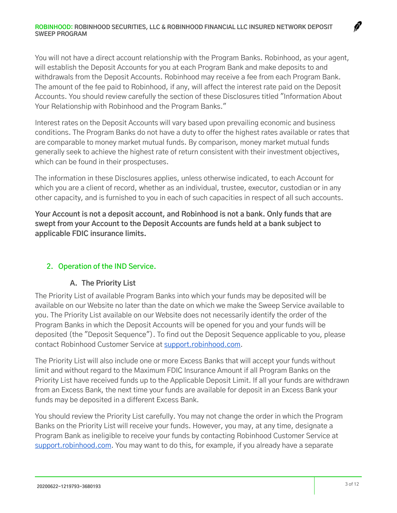You will not have a direct account relationship with the Program Banks. Robinhood, as your agent, will establish the Deposit Accounts for you at each Program Bank and make deposits to and withdrawals from the Deposit Accounts. Robinhood may receive a fee from each Program Bank. The amount of the fee paid to Robinhood, if any, will affect the interest rate paid on the Deposit Accounts. You should review carefully the section of these Disclosures titled "Information About Your Relationship with Robinhood and the Program Banks."

Interest rates on the Deposit Accounts will vary based upon prevailing economic and business conditions. The Program Banks do not have a duty to offer the highest rates available or rates that are comparable to money market mutual funds. By comparison, money market mutual funds generally seek to achieve the highest rate of return consistent with their investment objectives, which can be found in their prospectuses.

The information in these Disclosures applies, unless otherwise indicated, to each Account for which you are a client of record, whether as an individual, trustee, executor, custodian or in any other capacity, and is furnished to you in each of such capacities in respect of all such accounts.

**Your Account is not a deposit account, and Robinhood is not a bank. Only funds that are swept from your Account to the Deposit Accounts are funds held at a bank subject to applicable FDIC insurance limits.**

# **2. Operation of the IND Service.**

#### **A. The Priority List**

The Priority List of available Program Banks into which your funds may be deposited will be available on our Website no later than the date on which we make the Sweep Service available to you. The Priority List available on our Website does not necessarily identify the order of the Program Banks in which the Deposit Accounts will be opened for you and your funds will be deposited (the "Deposit Sequence"). To find out the Deposit Sequence applicable to you, please contact Robinhood Customer Service at [support.robinhood.com .](http://support.robinhood.com/)

The Priority List will also include one or more Excess Banks that will accept your funds without limit and without regard to the Maximum FDIC Insurance Amount if all Program Banks on the Priority List have received funds up to the Applicable Deposit Limit. If all your funds are withdrawn from an Excess Bank, the next time your funds are available for deposit in an Excess Bank your funds may be deposited in a different Excess Bank.

You should review the Priority List carefully. You may not change the order in which the Program Banks on the Priority List will receive your funds. However, you may, at any time, designate a Program Bank as ineligible to receive your funds by contacting Robinhood Customer Service at support.robinhood.com. You may want to do this, for example, if you already have a separate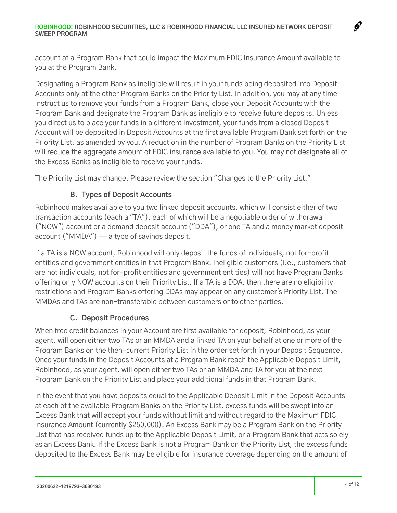account at a Program Bank that could impact the Maximum FDIC Insurance Amount available to you at the Program Bank.

Designating a Program Bank as ineligible will result in your funds being deposited into Deposit Accounts only at the other Program Banks on the Priority List. In addition, you may at any time instruct us to remove your funds from a Program Bank, close your Deposit Accounts with the Program Bank and designate the Program Bank as ineligible to receive future deposits. Unless you direct us to place your funds in a different investment, your funds from a closed Deposit Account will be deposited in Deposit Accounts at the first available Program Bank set forth on the Priority List, as amended by you. A reduction in the number of Program Banks on the Priority List will reduce the aggregate amount of FDIC insurance available to you. You may not designate all of the Excess Banks as ineligible to receive your funds.

The Priority List may change. Please review the section "Changes to the Priority List."

# **B. Types of Deposit Accounts**

Robinhood makes available to you two linked deposit accounts, which will consist either of two transaction accounts (each a "TA"), each of which will be a negotiable order of withdrawal ("NOW") account or a demand deposit account ("DDA"), or one TA and a money market deposit account ("MMDA") -- a type of savings deposit.

If a TA is a NOW account, Robinhood will only deposit the funds of individuals, not for-profit entities and government entities in that Program Bank. Ineligible customers (i.e., customers that are not individuals, not for-profit entities and government entities) will not have Program Banks offering only NOW accounts on their Priority List. If a TA is a DDA, then there are no eligibility restrictions and Program Banks offering DDAs may appear on any customer's Priority List. The MMDAs and TAs are non-transferable between customers or to other parties.

# **C. Deposit Procedures**

When free credit balances in your Account are first available for deposit, Robinhood, as your agent, will open either two TAs or an MMDA and a linked TA on your behalf at one or more of the Program Banks on the then-current Priority List in the order set forth in your Deposit Sequence. Once your funds in the Deposit Accounts at a Program Bank reach the Applicable Deposit Limit, Robinhood, as your agent, will open either two TAs or an MMDA and TA for you at the next Program Bank on the Priority List and place your additional funds in that Program Bank.

In the event that you have deposits equal to the Applicable Deposit Limit in the Deposit Accounts at each of the available Program Banks on the Priority List, excess funds will be swept into an Excess Bank that will accept your funds without limit and without regard to the Maximum FDIC Insurance Amount (currently \$250,000). An Excess Bank may be a Program Bank on the Priority List that has received funds up to the Applicable Deposit Limit, or a Program Bank that acts solely as an Excess Bank. If the Excess Bank is not a Program Bank on the Priority List, the excess funds deposited to the Excess Bank may be eligible for insurance coverage depending on the amount of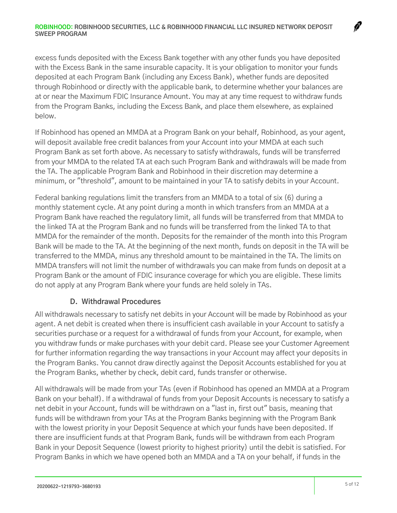excess funds deposited with the Excess Bank together with any other funds you have deposited with the Excess Bank in the same insurable capacity. It is your obligation to monitor your funds deposited at each Program Bank (including any Excess Bank), whether funds are deposited through Robinhood or directly with the applicable bank, to determine whether your balances are at or near the Maximum FDIC Insurance Amount. You may at any time request to withdraw funds from the Program Banks, including the Excess Bank, and place them elsewhere, as explained below.

If Robinhood has opened an MMDA at a Program Bank on your behalf, Robinhood, as your agent, will deposit available free credit balances from your Account into your MMDA at each such Program Bank as set forth above. As necessary to satisfy withdrawals, funds will be transferred from your MMDA to the related TA at each such Program Bank and withdrawals will be made from the TA. The applicable Program Bank and Robinhood in their discretion may determine a minimum, or "threshold", amount to be maintained in your TA to satisfy debits in your Account.

Federal banking regulations limit the transfers from an MMDA to a total of six (6) during a monthly statement cycle. At any point during a month in which transfers from an MMDA at a Program Bank have reached the regulatory limit, all funds will be transferred from that MMDA to the linked TA at the Program Bank and no funds will be transferred from the linked TA to that MMDA for the remainder of the month. Deposits for the remainder of the month into this Program Bank will be made to the TA. At the beginning of the next month, funds on deposit in the TA will be transferred to the MMDA, minus any threshold amount to be maintained in the TA. The limits on MMDA transfers will not limit the number of withdrawals you can make from funds on deposit at a Program Bank or the amount of FDIC insurance coverage for which you are eligible. These limits do not apply at any Program Bank where your funds are held solely in TAs.

#### **D. Withdrawal Procedures**

All withdrawals necessary to satisfy net debits in your Account will be made by Robinhood as your agent. A net debit is created when there is insufficient cash available in your Account to satisfy a securities purchase or a request for a withdrawal of funds from your Account, for example, when you withdraw funds or make purchases with your debit card. Please see your Customer Agreement for further information regarding the way transactions in your Account may affect your deposits in the Program Banks. You cannot draw directly against the Deposit Accounts established for you at the Program Banks, whether by check, debit card, funds transfer or otherwise.

All withdrawals will be made from your TAs (even if Robinhood has opened an MMDA at a Program Bank on your behalf). If a withdrawal of funds from your Deposit Accounts is necessary to satisfy a net debit in your Account, funds will be withdrawn on a "last in, first out" basis, meaning that funds will be withdrawn from your TAs at the Program Banks beginning with the Program Bank with the lowest priority in your Deposit Sequence at which your funds have been deposited. If there are insufficient funds at that Program Bank, funds will be withdrawn from each Program Bank in your Deposit Sequence (lowest priority to highest priority) until the debit is satisfied. For Program Banks in which we have opened both an MMDA and a TA on your behalf, if funds in the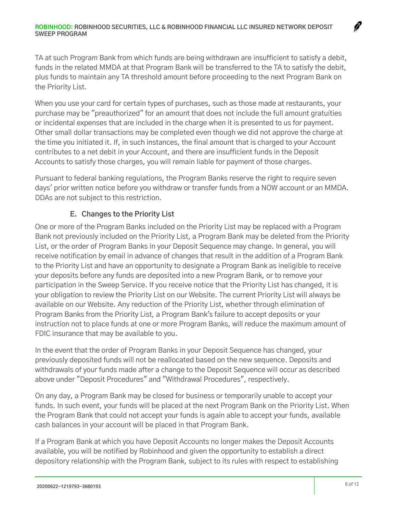TA at such Program Bank from which funds are being withdrawn are insufficient to satisfy a debit, funds in the related MMDA at that Program Bank will be transferred to the TA to satisfy the debit, plus funds to maintain any TA threshold amount before proceeding to the next Program Bank on the Priority List.

When you use your card for certain types of purchases, such as those made at restaurants, your purchase may be "preauthorized" for an amount that does not include the full amount gratuities or incidental expenses that are included in the charge when it is presented to us for payment. Other small dollar transactions may be completed even though we did not approve the charge at the time you initiated it. If, in such instances, the final amount that is charged to your Account contributes to a net debit in your Account, and there are insufficient funds in the Deposit Accounts to satisfy those charges, you will remain liable for payment of those charges.

Pursuant to federal banking regulations, the Program Banks reserve the right to require seven days' prior written notice before you withdraw or transfer funds from a NOW account or an MMDA. DDAs are not subject to this restriction.

# **E. Changes to the Priority List**

One or more of the Program Banks included on the Priority List may be replaced with a Program Bank not previously included on the Priority List, a Program Bank may be deleted from the Priority List, or the order of Program Banks in your Deposit Sequence may change. In general, you will receive notification by email in advance of changes that result in the addition of a Program Bank to the Priority List and have an opportunity to designate a Program Bank as ineligible to receive your deposits before any funds are deposited into a new Program Bank, or to remove your participation in the Sweep Service. If you receive notice that the Priority List has changed, it is your obligation to review the Priority List on our Website. The current Priority List will always be available on our Website. Any reduction of the Priority List, whether through elimination of Program Banks from the Priority List, a Program Bank's failure to accept deposits or your instruction not to place funds at one or more Program Banks, will reduce the maximum amount of FDIC insurance that may be available to you.

In the event that the order of Program Banks in your Deposit Sequence has changed, your previously deposited funds will not be reallocated based on the new sequence. Deposits and withdrawals of your funds made after a change to the Deposit Sequence will occur as described above under "Deposit Procedures" and "Withdrawal Procedures", respectively.

On any day, a Program Bank may be closed for business or temporarily unable to accept your funds. In such event, your funds will be placed at the next Program Bank on the Priority List. When the Program Bank that could not accept your funds is again able to accept your funds, available cash balances in your account will be placed in that Program Bank.

If a Program Bank at which you have Deposit Accounts no longer makes the Deposit Accounts available, you will be notified by Robinhood and given the opportunity to establish a direct depository relationship with the Program Bank, subject to its rules with respect to establishing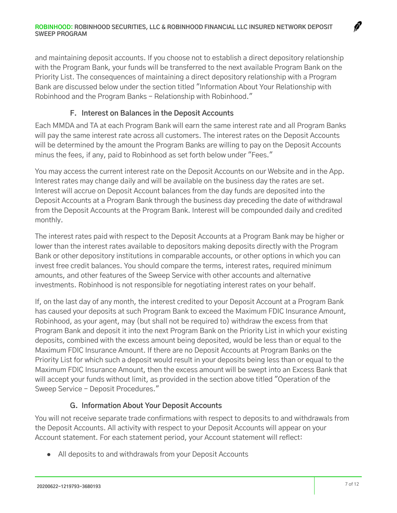and maintaining deposit accounts. If you choose not to establish a direct depository relationship with the Program Bank, your funds will be transferred to the next available Program Bank on the Priority List. The consequences of maintaining a direct depository relationship with a Program Bank are discussed below under the section titled "Information About Your Relationship with Robinhood and the Program Banks - Relationship with Robinhood."

#### **F. Interest on Balances in the Deposit Accounts**

Each MMDA and TA at each Program Bank will earn the same interest rate and all Program Banks will pay the same interest rate across all customers. The interest rates on the Deposit Accounts will be determined by the amount the Program Banks are willing to pay on the Deposit Accounts minus the fees, if any, paid to Robinhood as set forth below under "Fees."

You may access the current interest rate on the Deposit Accounts on our Website and in the App. Interest rates may change daily and will be available on the business day the rates are set. Interest will accrue on Deposit Account balances from the day funds are deposited into the Deposit Accounts at a Program Bank through the business day preceding the date of withdrawal from the Deposit Accounts at the Program Bank. Interest will be compounded daily and credited monthly.

The interest rates paid with respect to the Deposit Accounts at a Program Bank may be higher or lower than the interest rates available to depositors making deposits directly with the Program Bank or other depository institutions in comparable accounts, or other options in which you can invest free credit balances. You should compare the terms, interest rates, required minimum amounts, and other features of the Sweep Service with other accounts and alternative investments. Robinhood is not responsible for negotiating interest rates on your behalf.

If, on the last day of any month, the interest credited to your Deposit Account at a Program Bank has caused your deposits at such Program Bank to exceed the Maximum FDIC Insurance Amount, Robinhood, as your agent, may (but shall not be required to) withdraw the excess from that Program Bank and deposit it into the next Program Bank on the Priority List in which your existing deposits, combined with the excess amount being deposited, would be less than or equal to the Maximum FDIC Insurance Amount. If there are no Deposit Accounts at Program Banks on the Priority List for which such a deposit would result in your deposits being less than or equal to the Maximum FDIC Insurance Amount, then the excess amount will be swept into an Excess Bank that will accept your funds without limit, as provided in the section above titled "Operation of the Sweep Service - Deposit Procedures."

# **G. Information About Your Deposit Accounts**

You will not receive separate trade confirmations with respect to deposits to and withdrawals from the Deposit Accounts. All activity with respect to your Deposit Accounts will appear on your Account statement. For each statement period, your Account statement will reflect:

● All deposits to and withdrawals from your Deposit Accounts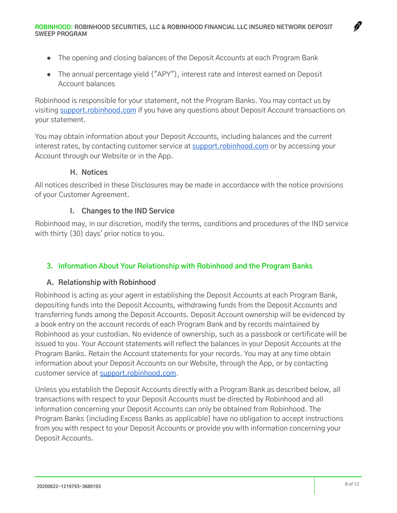- The opening and closing balances of the Deposit Accounts at each Program Bank
- The annual percentage yield ("APY"), interest rate and interest earned on Deposit Account balances

Robinhood is responsible for your statement, not the Program Banks. You may contact us by visiting [support.robinhood.com](http://support.robinhood.com/) if you have any questions about Deposit Account transactions on your statement.

You may obtain information about your Deposit Accounts, including balances and the current interest rates, by contacting customer service at [support.robinhood.com](http://support.robinhood.com/) or by accessing your Account through our Website or in the App.

#### **H. Notices**

All notices described in these Disclosures may be made in accordance with the notice provisions of your Customer Agreement.

## **I. Changes to the IND Service**

Robinhood may, in our discretion, modify the terms, conditions and procedures of the IND service with thirty (30) days' prior notice to you.

#### **3. Information About Your Relationship with Robinhood and the Program Banks**

#### **A. Relationship with Robinhood**

Robinhood is acting as your agent in establishing the Deposit Accounts at each Program Bank, depositing funds into the Deposit Accounts, withdrawing funds from the Deposit Accounts and transferring funds among the Deposit Accounts. Deposit Account ownership will be evidenced by a book entry on the account records of each Program Bank and by records maintained by Robinhood as your custodian. No evidence of ownership, such as a passbook or certificate will be issued to you. Your Account statements will reflect the balances in your Deposit Accounts at the Program Banks. Retain the Account statements for your records. You may at any time obtain information about your Deposit Accounts on our Website, through the App, or by contacting customer service at [support.robinhood.com .](http://support.robinhood.com/)

Unless you establish the Deposit Accounts directly with a Program Bank as described below, all transactions with respect to your Deposit Accounts must be directed by Robinhood and all information concerning your Deposit Accounts can only be obtained from Robinhood. The Program Banks (including Excess Banks as applicable) have no obligation to accept instructions from you with respect to your Deposit Accounts or provide you with information concerning your Deposit Accounts.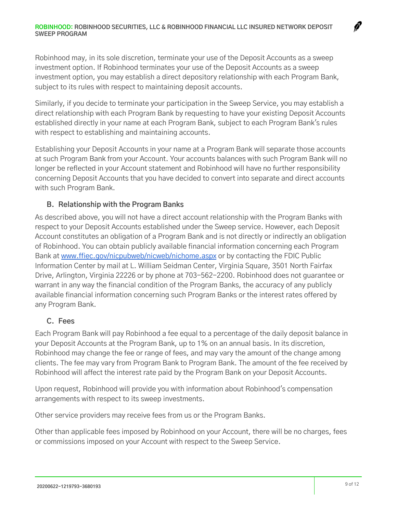#### **ROBINHOOD: ROBINHOOD SECURITIES, LLC & ROBINHOOD FINANCIAL LLC INSURED NETWORK DEPOSIT SWEEP PROGRAM**

Robinhood may, in its sole discretion, terminate your use of the Deposit Accounts as a sweep investment option. If Robinhood terminates your use of the Deposit Accounts as a sweep investment option, you may establish a direct depository relationship with each Program Bank, subject to its rules with respect to maintaining deposit accounts.

Similarly, if you decide to terminate your participation in the Sweep Service, you may establish a direct relationship with each Program Bank by requesting to have your existing Deposit Accounts established directly in your name at each Program Bank, subject to each Program Bank's rules with respect to establishing and maintaining accounts.

Establishing your Deposit Accounts in your name at a Program Bank will separate those accounts at such Program Bank from your Account. Your accounts balances with such Program Bank will no longer be reflected in your Account statement and Robinhood will have no further responsibility concerning Deposit Accounts that you have decided to convert into separate and direct accounts with such Program Bank.

## **B. Relationship with the Program Banks**

As described above, you will not have a direct account relationship with the Program Banks with respect to your Deposit Accounts established under the Sweep service. However, each Deposit Account constitutes an obligation of a Program Bank and is not directly or indirectly an obligation of Robinhood. You can obtain publicly available financial information concerning each Program Bank at [www.ffiec.gov/nicpubweb/nicweb/nichome.aspx](http://www.ffiec.gov/nicpubweb/nicweb/nichome.aspx) or by contacting the FDIC Public Information Center by mail at L. William Seidman Center, Virginia Square, 3501 North Fairfax Drive, Arlington, Virginia 22226 or by phone at 703-562-2200. Robinhood does not guarantee or warrant in any way the financial condition of the Program Banks, the accuracy of any publicly available financial information concerning such Program Banks or the interest rates offered by any Program Bank.

#### **C. Fees**

Each Program Bank will pay Robinhood a fee equal to a percentage of the daily deposit balance in your Deposit Accounts at the Program Bank, up to 1% on an annual basis. In its discretion, Robinhood may change the fee or range of fees, and may vary the amount of the change among clients. The fee may vary from Program Bank to Program Bank. The amount of the fee received by Robinhood will affect the interest rate paid by the Program Bank on your Deposit Accounts.

Upon request, Robinhood will provide you with information about Robinhood's compensation arrangements with respect to its sweep investments.

Other service providers may receive fees from us or the Program Banks.

Other than applicable fees imposed by Robinhood on your Account, there will be no charges, fees or commissions imposed on your Account with respect to the Sweep Service.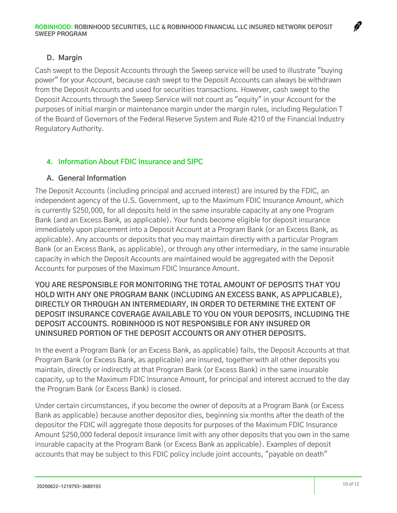## **D. Margin**

Cash swept to the Deposit Accounts through the Sweep service will be used to illustrate "buying power" for your Account, because cash swept to the Deposit Accounts can always be withdrawn from the Deposit Accounts and used for securities transactions. However, cash swept to the Deposit Accounts through the Sweep Service will not count as "equity" in your Account for the purposes of initial margin or maintenance margin under the margin rules, including Regulation T of the Board of Governors of the Federal Reserve System and Rule 4210 of the Financial Industry Regulatory Authority.

## **4. Information About FDIC Insurance and SIPC**

#### **A. General Information**

The Deposit Accounts (including principal and accrued interest) are insured by the FDIC, an independent agency of the U.S. Government, up to the Maximum FDIC Insurance Amount, which is currently \$250,000, for all deposits held in the same insurable capacity at any one Program Bank (and an Excess Bank, as applicable). Your funds become eligible for deposit insurance immediately upon placement into a Deposit Account at a Program Bank (or an Excess Bank, as applicable). Any accounts or deposits that you may maintain directly with a particular Program Bank (or an Excess Bank, as applicable), or through any other intermediary, in the same insurable capacity in which the Deposit Accounts are maintained would be aggregated with the Deposit Accounts for purposes of the Maximum FDIC Insurance Amount.

**YOU ARE RESPONSIBLE FOR MONITORING THE TOTAL AMOUNT OF DEPOSITS THAT YOU HOLD WITH ANY ONE PROGRAM BANK (INCLUDING AN EXCESS BANK, AS APPLICABLE), DIRECTLY OR THROUGH AN INTERMEDIARY, IN ORDER TO DETERMINE THE EXTENT OF DEPOSIT INSURANCE COVERAGE AVAILABLE TO YOU ON YOUR DEPOSITS, INCLUDING THE DEPOSIT ACCOUNTS. ROBINHOOD IS NOT RESPONSIBLE FOR ANY INSURED OR UNINSURED PORTION OF THE DEPOSIT ACCOUNTS OR ANY OTHER DEPOSITS.**

In the event a Program Bank (or an Excess Bank, as applicable) fails, the Deposit Accounts at that Program Bank (or Excess Bank, as applicable) are insured, together with all other deposits you maintain, directly or indirectly at that Program Bank (or Excess Bank) in the same insurable capacity, up to the Maximum FDIC Insurance Amount, for principal and interest accrued to the day the Program Bank (or Excess Bank) is closed.

Under certain circumstances, if you become the owner of deposits at a Program Bank (or Excess Bank as applicable) because another depositor dies, beginning six months after the death of the depositor the FDIC will aggregate those deposits for purposes of the Maximum FDIC Insurance Amount \$250,000 federal deposit insurance limit with any other deposits that you own in the same insurable capacity at the Program Bank (or Excess Bank as applicable). Examples of deposit accounts that may be subject to this FDIC policy include joint accounts, "payable on death"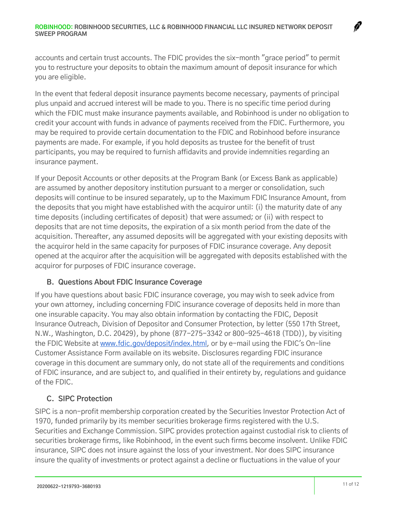#### **ROBINHOOD: ROBINHOOD SECURITIES, LLC & ROBINHOOD FINANCIAL LLC INSURED NETWORK DEPOSIT SWEEP PROGRAM**

accounts and certain trust accounts. The FDIC provides the six-month "grace period" to permit you to restructure your deposits to obtain the maximum amount of deposit insurance for which you are eligible.

In the event that federal deposit insurance payments become necessary, payments of principal plus unpaid and accrued interest will be made to you. There is no specific time period during which the FDIC must make insurance payments available, and Robinhood is under no obligation to credit your account with funds in advance of payments received from the FDIC. Furthermore, you may be required to provide certain documentation to the FDIC and Robinhood before insurance payments are made. For example, if you hold deposits as trustee for the benefit of trust participants, you may be required to furnish affidavits and provide indemnities regarding an insurance payment.

If your Deposit Accounts or other deposits at the Program Bank (or Excess Bank as applicable) are assumed by another depository institution pursuant to a merger or consolidation, such deposits will continue to be insured separately, up to the Maximum FDIC Insurance Amount, from the deposits that you might have established with the acquiror until: (i) the maturity date of any time deposits (including certificates of deposit) that were assumed; or (ii) with respect to deposits that are not time deposits, the expiration of a six month period from the date of the acquisition. Thereafter, any assumed deposits will be aggregated with your existing deposits with the acquiror held in the same capacity for purposes of FDIC insurance coverage. Any deposit opened at the acquiror after the acquisition will be aggregated with deposits established with the acquiror for purposes of FDIC insurance coverage.

#### **B. Questions About FDIC Insurance Coverage**

If you have questions about basic FDIC insurance coverage, you may wish to seek advice from your own attorney, including concerning FDIC insurance coverage of deposits held in more than one insurable capacity. You may also obtain information by contacting the FDIC, Deposit Insurance Outreach, Division of Depositor and Consumer Protection, by letter (550 17th Street, N.W., Washington, D.C. 20429), by phone (877-275-3342 or 800-925-4618 (TDD)), by visiting the FDIC Website at [www.fdic.gov/deposit/index.html,](http://www.fdic.gov/deposit/index.html) or by e-mail using the FDIC's On-line Customer Assistance Form available on its website. Disclosures regarding FDIC insurance coverage in this document are summary only, do not state all of the requirements and conditions of FDIC insurance, and are subject to, and qualified in their entirety by, regulations and guidance of the FDIC.

# **C. SIPC Protection**

SIPC is a non-profit membership corporation created by the Securities Investor Protection Act of 1970, funded primarily by its member securities brokerage firms registered with the U.S. Securities and Exchange Commission. SIPC provides protection against custodial risk to clients of securities brokerage firms, like Robinhood, in the event such firms become insolvent. Unlike FDIC insurance, SIPC does not insure against the loss of your investment. Nor does SIPC insurance insure the quality of investments or protect against a decline or fluctuations in the value of your